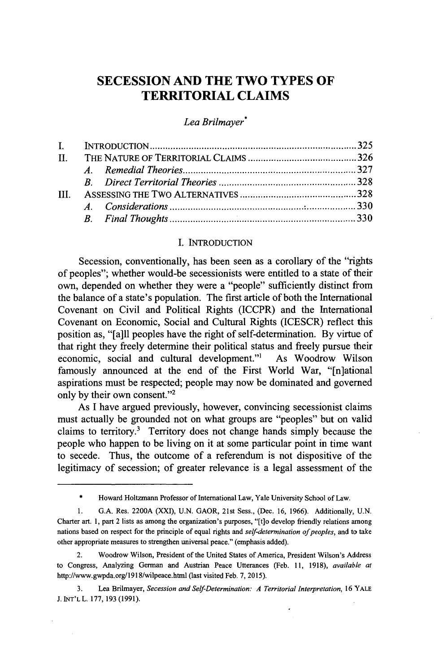# **SECESSION AND THE TWO TYPES OF TERRITORIAL CLAIMS**

*Lea Brilmayer* •

| III |  |  |
|-----|--|--|
|     |  |  |
|     |  |  |
|     |  |  |

## I. INTRODUCTION

Secession, conventionally, has been seen as a corollary of the "rights of peoples"; whether would-be secessionists were entitled to a state of their own, depended on whether they were a "people" sufficiently distinct from the balance of a state's population. The first article of both the International Covenant on Civil and Political Rights (ICCPR) and the International Covenant on Economic, Social and Cultural Rights (ICESCR) reflect this position as, "[a ]ll peoples have the right of self-determination. By virtue of that right they freely determine their political status and freely pursue their economic, social and cultural development."1 As Woodrow Wilson famously announced at the end of the First World War, "[n]ational aspirations must be respected; people may now be dominated and governed only by their own consent. "<sup>2</sup>

As I have argued previously, however, convincing secessionist claims must actually be grounded not on what groups are "peoples" but on valid claims to territory.3 Territory does not change hands simply because the people who happen to be living on it at some particular point in time want to secede. Thus, the outcome of a referendum is not dispositive of the legitimacy of secession; of greater relevance is a legal assessment of the

<sup>\*</sup> Howard Holtzmann Professor of International Law, Yale University School of Law.

I. G.A. Res. 2200A (XXI), U.N. GAOR, 21st Sess., (Dec. 16, 1966). Additionally, U.N. Charter art. I, part 2 lists as among the organization's purposes, "[t]o develop friendly relations among nations based on respect for the principle of equal rights and *self-determination of peoples,* and to take other appropriate measures to strengthen universal peace." (emphasis added).

<sup>2.</sup> Woodrow Wilson, President of the United States of America, President Wilson's Address to Congress, Analyzing German and Austrian Peace Utterances (Feb. 11, 1918), *available at*  http://www.gwpda.org/1918/wilpeace.html (last visited Feb. 7, 2015).

<sup>3.</sup> Lea Brilmayer, *Secession and Self-Determination: A Territorial Interpretation,* 16 YALE J. INT'L L. 177, 193 (1991).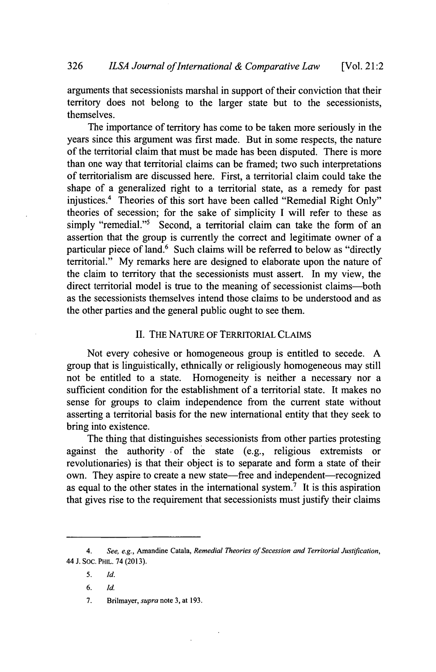arguments that secessionists marshal in support of their conviction that their territory does not belong to the larger state but to the secessionists, themselves.

The importance of territory has come to be taken more seriously in the years since this argument was first made. But in some respects, the nature of the territorial claim that must be made has been disputed. There is more than one way that territorial claims can be framed; two such interpretations of territorialism are discussed here. First, a territorial claim could take the shape of a generalized right to a territorial state, as a remedy for past injustices.4 Theories of this sort have been called "Remedial Right Only" theories of secession; for the sake of simplicity I will refer to these as simply "remedial."<sup>5</sup> Second, a territorial claim can take the form of an assertion that the group is currently the correct and legitimate owner of a particular piece of land.<sup>6</sup> Such claims will be referred to below as "directly territorial." My remarks here are designed to elaborate upon the nature of the claim to territory that the secessionists must assert. In my view, the direct territorial model is true to the meaning of secessionist claims—both as the secessionists themselves intend those claims to be understood and as the other parties and the general public ought to see them.

# II. THE NATURE OF TERRITORIAL CLAIMS

Not every cohesive or homogeneous group is entitled to secede. A group that is linguistically, ethnically or religiously homogeneous may still not be entitled to a state. Homogeneity is neither a necessary nor a sufficient condition for the establishment of a territorial state. It makes no sense for groups to claim independence from the current state without asserting a territorial basis for the new international entity that they seek to bring into existence.

The thing that distinguishes secessionists from other parties protesting against the authority of the state (e.g., religious extremists or revolutionaries) is that their object is to separate and form a state of their own. They aspire to create a new state—free and independent—recognized as equal to the other states in the international system.<sup>7</sup> It is this aspiration that gives rise to the requirement that secessionists must justify their claims

<sup>4.</sup> *See, e.g.,* Amandine Catala, *Remedial Theories of Secession and Territorial Justification,*  44 J. Soc. PHIL. 74 (2013).

<sup>5.</sup> *Id.* 

<sup>6.</sup> *Id.* 

<sup>7.</sup> Brilmayer, *supra* note 3, at 193.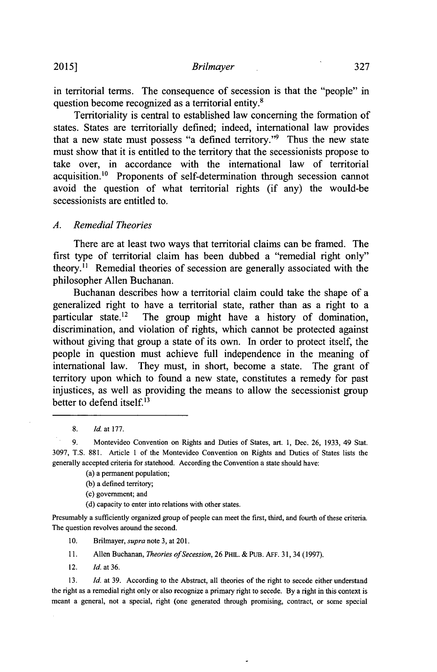in territorial terms. The consequence of secession is that the "people" in question become recognized as a territorial entity.8

Territoriality is central to established law concerning the formation of states. States are territorially defined; indeed, international law provides that a new state must possess "a defined territory."9 Thus the new state must show that it is entitled to the territory that the secessionists propose to take over, in accordance with the international law of territorial acquisition. 10 Proponents of self-determination through secession cannot avoid the question of what territorial rights (if any) the would-be secessionists are entitled to.

#### *A. Remedial Theories*

There are at least two ways that territorial claims can be framed. The first type of territorial claim has been dubbed a "remedial right only" theory.<sup>11</sup> Remedial theories of secession are generally associated with the philosopher Allen Buchanan.

Buchanan describes how a territorial claim could take the shape of a generalized right to have a territorial state, rather than as a right to a particular state.<sup>12</sup> The group might have a history of domination, discrimination, and violation of rights, which cannot be protected against without giving that group a state of its own. In order to protect itself, the people in question must achieve full independence in the meaning of international law. They must, in short, become a state. The grant of territory upon which to found a new state, constitutes a remedy for past injustices, as well as providing the means to allow the secessionist group better to defend itself.<sup>13</sup>

8. *Id.* at 177.

9. Montevideo Convention on Rights and Duties of States, art. 1, Dec. 26, 1933, 49 Stat. 3097, T.S. 881. Article 1 of the Montevideo Convention on Rights and Duties of States lists the generally accepted criteria for statehood. According the Convention a state should have:

- (a) a permanent population;
- (b) a defined territory;
- (c) government; and
- ( d) capacity to enter into relations with other states.

Presumably a sufficiently organized group of people can meet the first, third, and fourth of these criteria. The question revolves around the second.

- 10. Brilmayer, *supra* note 3, at 201.
- 11. Allen Buchanan, *Theories of Secession,* 26 PHIL. & PuB. AFF. 31, 34 ( 1997).
- 12. *Id.* at 36.

13. *Id.* at 39. According to the Abstract, all theories of the right to secede either understand the right as a remedial right only or also recognize a primary right to secede. By a right in this context is meant a general, not a special, right (one generated through promising, contract, or some special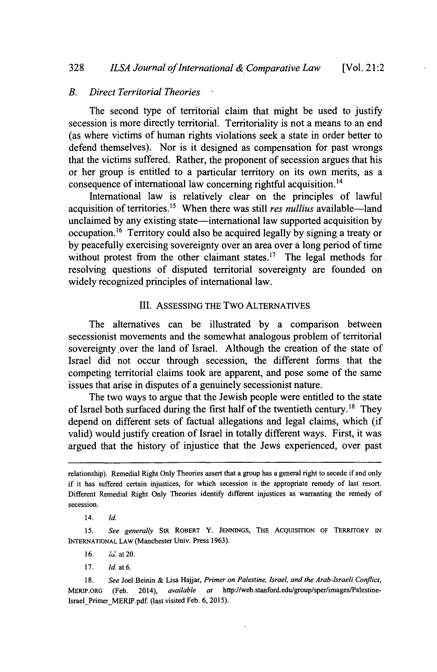#### *B. Direct Territorial Theories*

The second type of territorial claim that might be used to justify secession is more directly territorial. Territoriality is not a means to an end (as where victims of human rights violations seek a state in order better to defend themselves). Nor is it designed as compensation for past wrongs that the victims suffered. Rather, the proponent of secession argues that his or her group is entitled to a particular territory on its own merits, as a consequence of international law concerning rightful acquisition. 14

International law is relatively clear on the principles of lawful acquisition of territories. 15 When there was still *res nullius* available-land unclaimed by any existing state—international law supported acquisition by occupation. 16 Territory could also be acquired legally by signing a treaty or by peacefully exercising sovereignty over an area over a long period of time without protest from the other claimant states.<sup>17</sup> The legal methods for resolving questions of disputed territorial sovereignty are founded on widely recognized principles of international law.

## III. ASSESSING THE Two ALTERNATIVES

The alternatives can be illustrated by a comparison between secessionist movements and the somewhat analogous problem of territorial sovereignty over the land of Israel. Although the creation of the state of Israel did not occur through secession, the different forms that the competing territorial claims took are apparent, and pose some of the same issues that arise in disputes of a genuinely secessionist nature.

The two ways to argue that the Jewish people were entitled to the state of Israel both surfaced during the first half of the twentieth century.<sup>18</sup> They depend on different sets of factual allegations and legal claims, which (if valid) would justify creation of Israel in totally different ways. First, it was argued that the history of injustice that the Jews experienced, over past

14. *Id.* 

15. *See generally* SIR ROBERT Y. JENNINGS, THE ACQUISITION OF TERRITORY IN INTERNATIONAL LAW (Manchester Univ. Press 1963).

- 16. *iu0 id.* at 20.
- 17. *Id.* at 6.

18. *See* Joel Beinin & Lisa Hajjar, *Primer on Palestine, Israel, and the Arab-Israeli Conflict,*  MERIP.ORG (Feb. 2014), *available at* http://web.stanford.edu/group/sper/images/Palestine-Israel\_Primer\_MERIP.pdf. (last visited Feb. 6, 2015).

relationship). Remedial Right Only Theories assert that a group has a general right to secede if and only if it has suffered certain injustices, for which secession is the appropriate remedy of last resort. Different Remedial Right Only Theories identify different injustices as warranting the remedy of secession.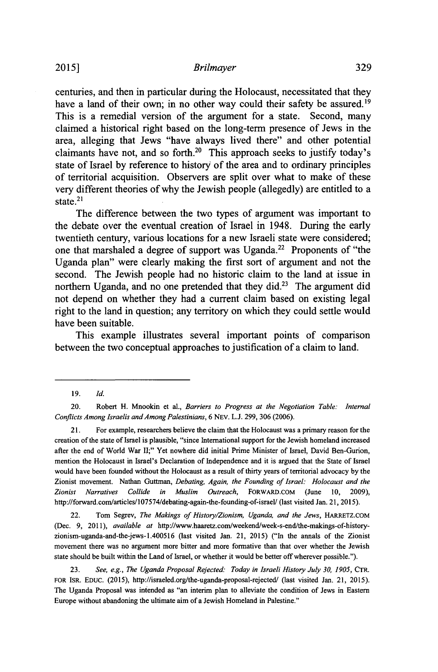centuries, and then in particular during the Holocaust, necessitated that they have a land of their own; in no other way could their safety be assured.<sup>19</sup> This is a remedial version of the argument for a state. Second, many claimed a historical right based on the long-term presence of Jews in the area, alleging that Jews "have always lived there" and other potential claimants have not, and so forth.<sup>20</sup> This approach seeks to justify today's state of Israel by reference to history of the area and to ordinary principles of territorial acquisition. Observers are split over what to make of these very different theories of why the Jewish people (allegedly) are entitled to a state.<sup>21</sup>

The difference between the two types of argument was important to the debate over the eventual creation of Israel in 1948. During the early twentieth century, various locations for a new Israeli state were considered; one that marshaled a degree of support was Uganda. 22 Proponents of "the Uganda plan" were clearly making the first sort of argument and not the second. The Jewish people had no historic claim to the land at issue in northern Uganda, and no one pretended that they did.<sup>23</sup> The argument did not depend on whether they had a current claim based on existing legal right to the land in question; any territory on which they could settle would have been suitable.

This example illustrates several important points of comparison between the two conceptual approaches to justification of a claim to land.

22. Tom Segrev, *The Makings of History/Zionism, Uganda, and the Jews,* HARRETZ.COM (Dec. 9, 2011 ), *available at* http://www.haaretz.com/weekend/week-s-end/the-makings-of-historyzionism-uganda-and-the-jews-l.400516 (last visited Jan. 21, 2015) ("In the annals of the Zionist movement there was no argument more bitter and more formative than that over whether the Jewish state should be built within the Land of Israel, or whether it would be better off wherever possible.").

23. *See, e.g., The Uganda Proposal Rejected: Today in Israeli History July 30, I905,* CTR. FOR ISR. EDUC. (2015), http://israeled.org/the-uganda-proposal-rejected/ (last visited Jan. 21, 2015). The Uganda Proposal was intended as "an interim plan to alleviate the condition of Jews in Eastern Europe without abandoning the ultimate aim of a Jewish Homeland in Palestine."

<sup>19.</sup> *Id.* 

<sup>20.</sup> Robert H. Mnookin et al., *Barriers to Progress at the Negotiation Table: Internal Conflicts Among Israelis and Among Palestinians,* 6 NEV. L.J. 299, 306 (2006).

<sup>21.</sup> For example, researchers believe the claim that the Holocaust was a primary reason for the creation of the state of Israel is plausible, "since International support for the Jewish homeland increased after the end of World War II;" Yet nowhere did initial Prime Minister of Israel, David Ben-Gurion, mention the Holocaust in Israel's Declaration of Independence and it is argued that the State of Israel would have been founded without the Holocaust as a result of thirty years of territorial advocacy by the Zionist movement. Nathan Guttman, *Debating, Again, the Founding of Israel: Holocaust and the Zionist Narratives Collide in Muslim Outreach,* FORWARD.COM (June 10, 2009), http://forward.com/articles/107574/debating-again-the-founding-of-israel/ (last visited Jan. 21, 2015).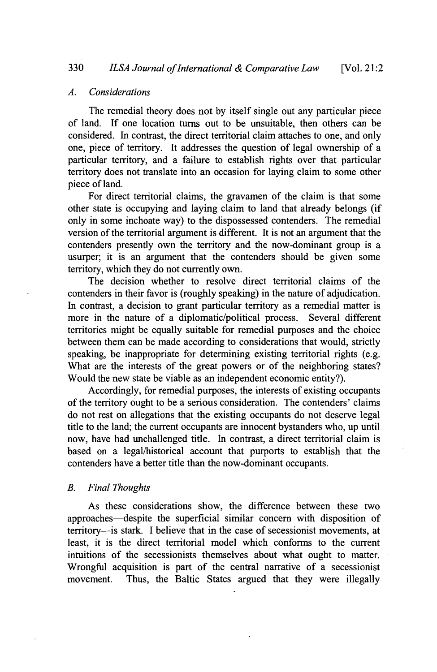#### *A. Considerations*

The remedial theory does not by itself single out any particular piece of land. If one location turns out to be unsuitable, then others can be considered. In contrast, the direct territorial claim attaches to one, and only one, piece of territory. It addresses the question of legal ownership of a particular territory, and a failure to establish rights over that particular territory does not translate into an occasion for laying claim to some other piece of land.

For direct territorial claims, the gravamen of the claim is that some other state is occupying and laying claim to land that already belongs (if only in some inchoate way) to the dispossessed contenders. The remedial version of the territorial argument is different. It is not an argument that the contenders presently own the territory and the now-dominant group is a usurper; it is an argument that the contenders should be given some territory, which they do not currently own.

The decision whether to resolve direct territorial claims of the contenders in their favor is (roughly speaking) in the nature of adjudication. In contrast, a decision to grant particular territory as a remedial matter is more in the nature of a diplomatic/political process. Several different territories might be equally suitable for remedial purposes and the choice between them can be made according to considerations that would, strictly speaking, be inappropriate for determining existing territorial rights (e.g. What are the interests of the great powers or of the neighboring states? Would the new state be viable as an independent economic entity?).

Accordingly, for remedial purposes, the interests of existing occupants of the territory ought to be a serious consideration. The contenders' claims do not rest on allegations that the existing occupants do not deserve legal title to the land; the current occupants are innocent bystanders who, up until now, have had unchallenged title. In contrast, a direct territorial claim is based on a legal/historical account that purports to establish that the contenders have a better title than the now-dominant occupants.

#### *B. Final Thoughts*

As these considerations show, the difference between these two approaches—despite the superficial similar concern with disposition of territory-is stark. I believe that in the case of secessionist movements, at least, it is the direct territorial model which conforms to the current intuitions of the secessionists themselves about what ought to matter. Wrongful acquisition is part of the central narrative of a secessionist movement. Thus, the Baltic States argued that they were illegally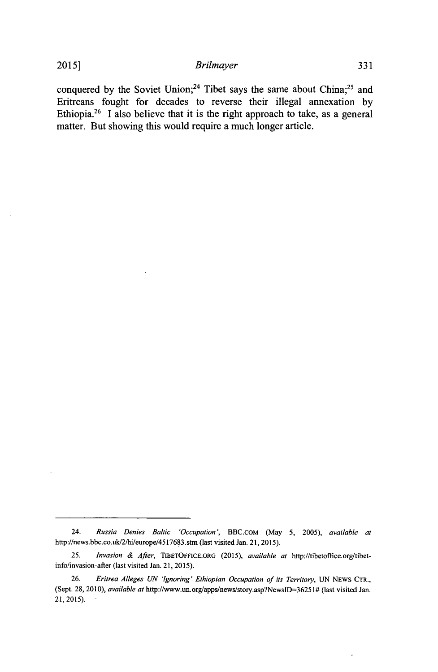# 2015] *Brilmayer* 331

conquered by the Soviet Union;<sup>24</sup> Tibet says the same about China;<sup>25</sup> and Eritreans fought for decades to reverse their illegal annexation by Ethiopia.<sup>26</sup> I also believe that it is the right approach to take, as a general matter. But showing this would require a much longer article.

<sup>24.</sup> *Russia Denies Baltic 'Occupation',* BBC.COM (May 5, 2005), *available at*  http://news.bbc.eo.uk/2/hi/europe/4517683.stm (last visited Jan. 21, 2015).

<sup>25.</sup> *Invasion* & *After,* TIBETOFFICE.ORG (2015), *available at* http://tibetoffice.org/tibetinfo/invasion-after (last visited Jan. 21, 2015).

<sup>26.</sup> *Eritrea Alleges UN 'Ignoring' Ethiopian Occupation of its Territory,* UN NEWS CTR., (Sept. 28, 2010), *available at http://www.un.org/apps/news/story.asp?NewsID=36251#* (last visited Jan. 21, 2015).